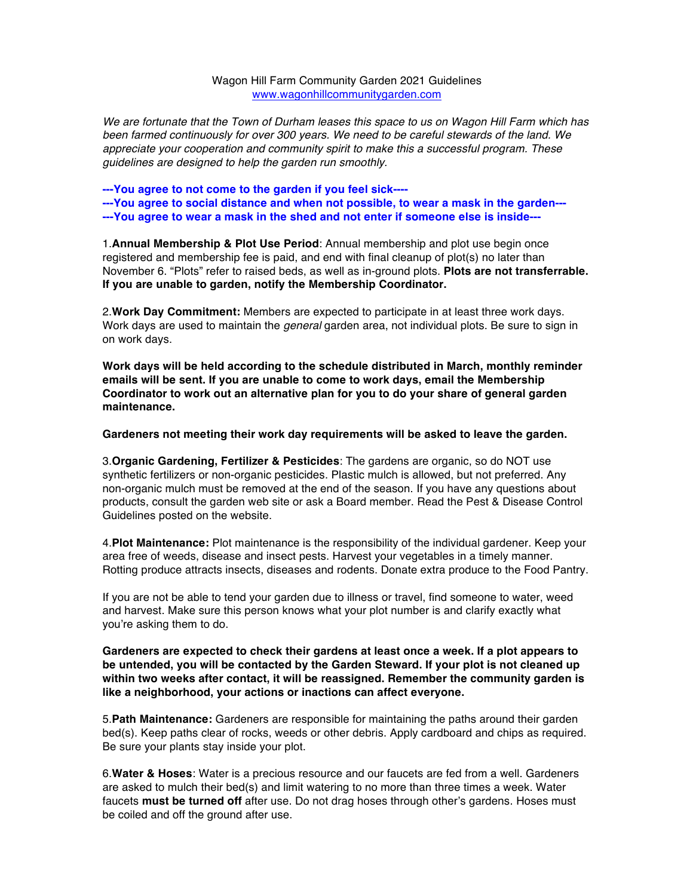Wagon Hill Farm Community Garden 2021 Guidelines www.wagonhillcommunitygarden.com

*We are fortunate that the Town of Durham leases this space to us on Wagon Hill Farm which has been farmed continuously for over 300 years. We need to be careful stewards of the land. We appreciate your cooperation and community spirit to make this a successful program. These guidelines are designed to help the garden run smoothly.*

**---You agree to not come to the garden if you feel sick---- ---You agree to social distance and when not possible, to wear a mask in the garden--- ---You agree to wear a mask in the shed and not enter if someone else is inside---**

1.**Annual Membership & Plot Use Period**: Annual membership and plot use begin once registered and membership fee is paid, and end with final cleanup of plot(s) no later than November 6. "Plots" refer to raised beds, as well as in-ground plots. **Plots are not transferrable. If you are unable to garden, notify the Membership Coordinator.** 

2.**Work Day Commitment:** Members are expected to participate in at least three work days. Work days are used to maintain the *general* garden area, not individual plots. Be sure to sign in on work days.

**Work days will be held according to the schedule distributed in March, monthly reminder emails will be sent. If you are unable to come to work days, email the Membership Coordinator to work out an alternative plan for you to do your share of general garden maintenance.**

**Gardeners not meeting their work day requirements will be asked to leave the garden.**

3.**Organic Gardening, Fertilizer & Pesticides**: The gardens are organic, so do NOT use synthetic fertilizers or non-organic pesticides. Plastic mulch is allowed, but not preferred. Any non-organic mulch must be removed at the end of the season. If you have any questions about products, consult the garden web site or ask a Board member. Read the Pest & Disease Control Guidelines posted on the website.

4.**Plot Maintenance:** Plot maintenance is the responsibility of the individual gardener. Keep your area free of weeds, disease and insect pests. Harvest your vegetables in a timely manner. Rotting produce attracts insects, diseases and rodents. Donate extra produce to the Food Pantry.

If you are not be able to tend your garden due to illness or travel, find someone to water, weed and harvest. Make sure this person knows what your plot number is and clarify exactly what you're asking them to do.

**Gardeners are expected to check their gardens at least once a week. If a plot appears to be untended, you will be contacted by the Garden Steward. If your plot is not cleaned up within two weeks after contact, it will be reassigned. Remember the community garden is like a neighborhood, your actions or inactions can affect everyone.**

5.**Path Maintenance:** Gardeners are responsible for maintaining the paths around their garden bed(s). Keep paths clear of rocks, weeds or other debris. Apply cardboard and chips as required. Be sure your plants stay inside your plot.

6.**Water & Hoses**: Water is a precious resource and our faucets are fed from a well. Gardeners are asked to mulch their bed(s) and limit watering to no more than three times a week. Water faucets **must be turned off** after use. Do not drag hoses through other's gardens. Hoses must be coiled and off the ground after use.